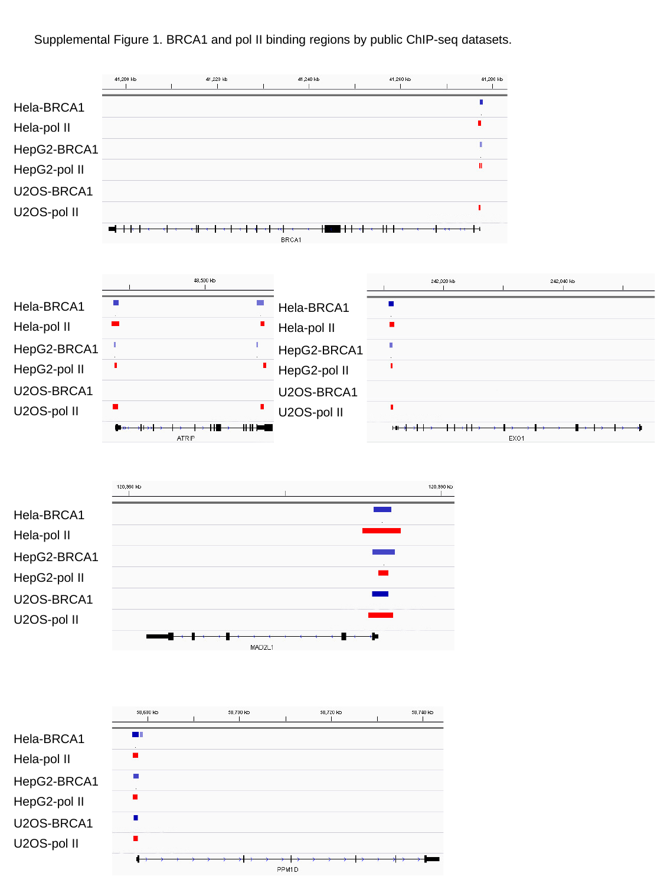Supplemental Figure 1. BRCA1 and pol II binding regions by public ChIP-seq datasets.





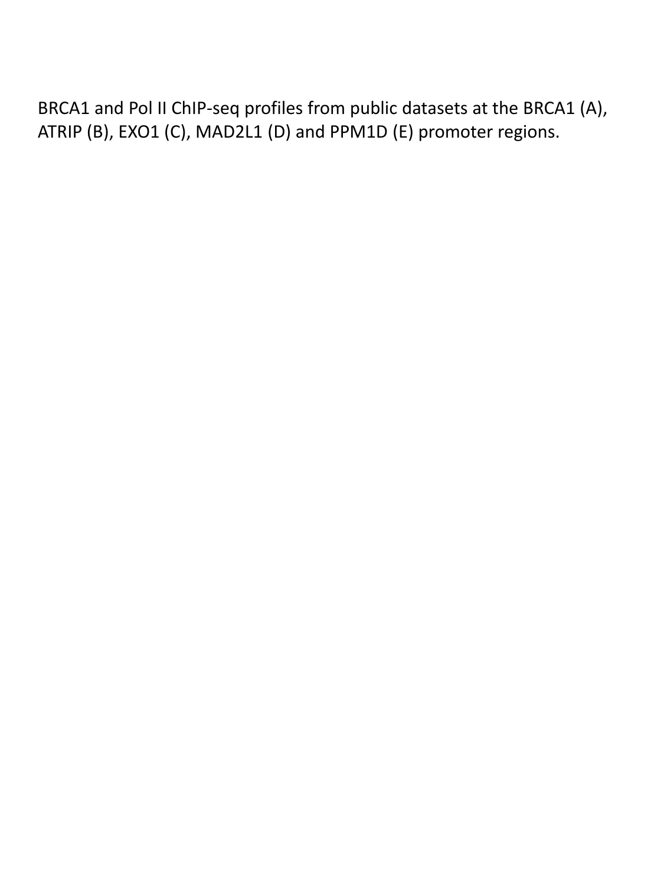BRCA1 and Pol II ChIP-seq profiles from public datasets at the BRCA1 (A), ATRIP (B), EXO1 (C), MAD2L1 (D) and PPM1D (E) promoter regions.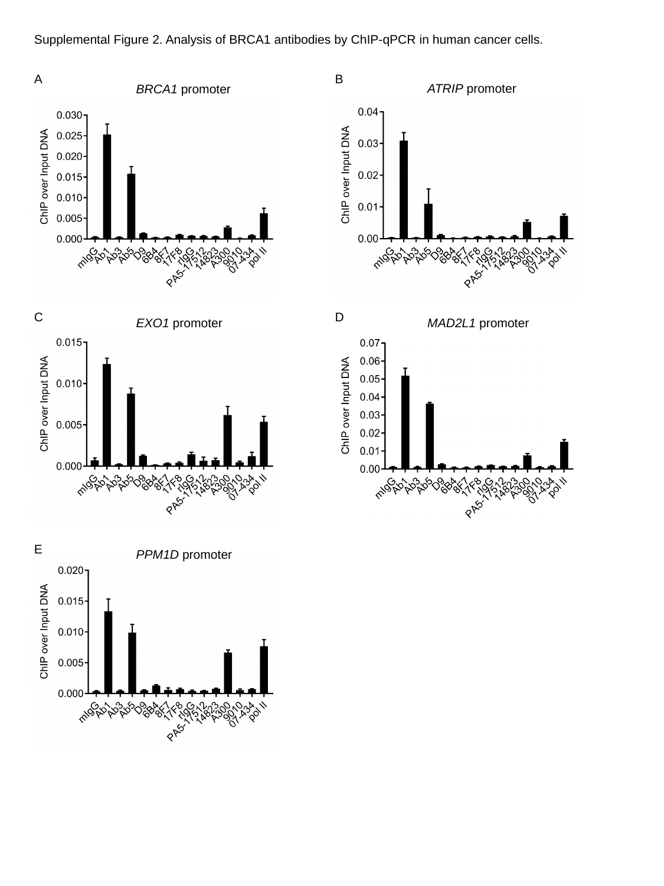Supplemental Figure 2. Analysis of BRCA1 antibodies by ChIP-qPCR in human cancer cells.



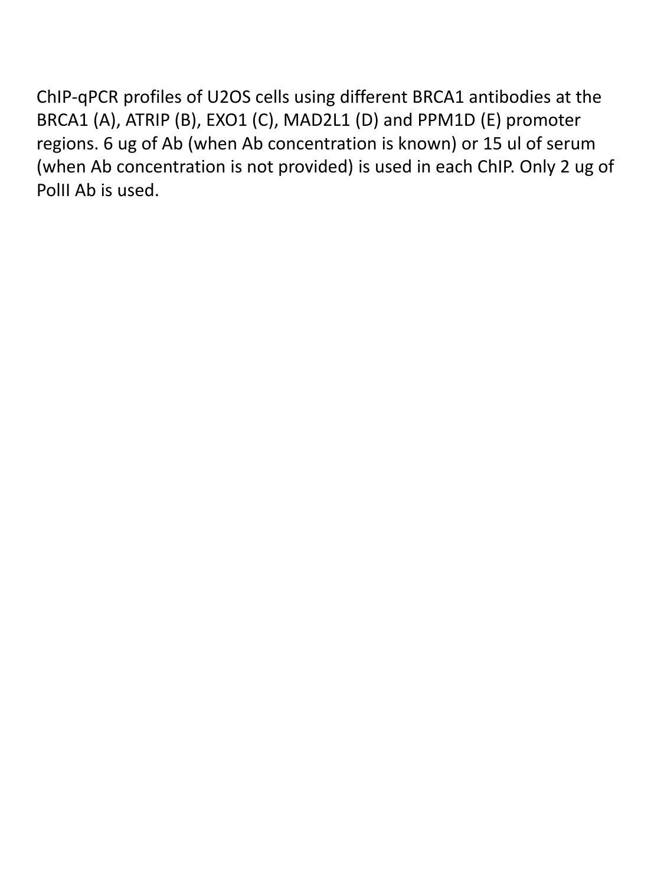ChIP-qPCR profiles of U2OS cells using different BRCA1 antibodies at the BRCA1 (A), ATRIP (B), EXO1 (C), MAD2L1 (D) and PPM1D (E) promoter regions. 6 ug of Ab (when Ab concentration is known) or 15 ul of serum (when Ab concentration is not provided) is used in each ChIP. Only 2 ug of PollI Ab is used.